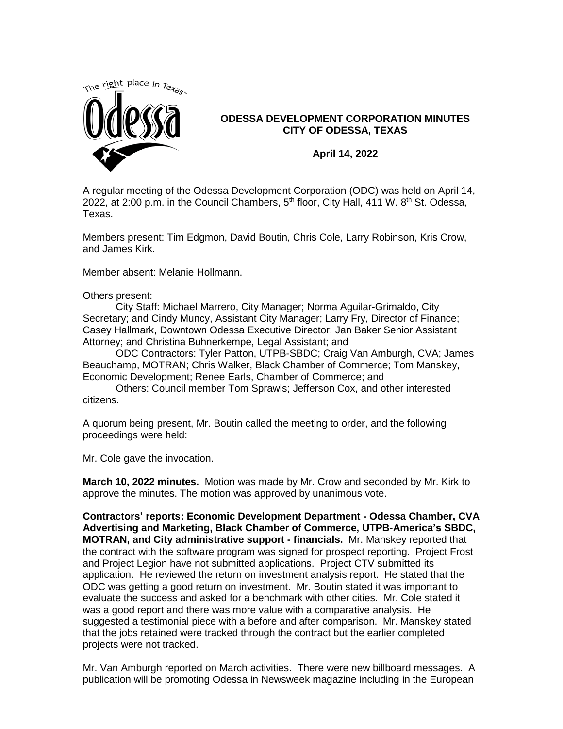

## **ODESSA DEVELOPMENT CORPORATION MINUTES CITY OF ODESSA, TEXAS**

**April 14, 2022**

A regular meeting of the Odessa Development Corporation (ODC) was held on April 14, 2022, at 2:00 p.m. in the Council Chambers,  $5<sup>th</sup>$  floor, City Hall, 411 W.  $8<sup>th</sup>$  St. Odessa, Texas.

Members present: Tim Edgmon, David Boutin, Chris Cole, Larry Robinson, Kris Crow, and James Kirk.

Member absent: Melanie Hollmann.

Others present:

City Staff: Michael Marrero, City Manager; Norma Aguilar-Grimaldo, City Secretary; and Cindy Muncy, Assistant City Manager; Larry Fry, Director of Finance; Casey Hallmark, Downtown Odessa Executive Director; Jan Baker Senior Assistant Attorney; and Christina Buhnerkempe, Legal Assistant; and

ODC Contractors: Tyler Patton, UTPB-SBDC; Craig Van Amburgh, CVA; James Beauchamp, MOTRAN; Chris Walker, Black Chamber of Commerce; Tom Manskey, Economic Development; Renee Earls, Chamber of Commerce; and

Others: Council member Tom Sprawls; Jefferson Cox, and other interested citizens.

A quorum being present, Mr. Boutin called the meeting to order, and the following proceedings were held:

Mr. Cole gave the invocation.

**March 10, 2022 minutes.** Motion was made by Mr. Crow and seconded by Mr. Kirk to approve the minutes. The motion was approved by unanimous vote.

**Contractors' reports: Economic Development Department - Odessa Chamber, CVA Advertising and Marketing, Black Chamber of Commerce, UTPB-America's SBDC, MOTRAN, and City administrative support - financials.** Mr. Manskey reported that the contract with the software program was signed for prospect reporting. Project Frost and Project Legion have not submitted applications. Project CTV submitted its application. He reviewed the return on investment analysis report. He stated that the ODC was getting a good return on investment. Mr. Boutin stated it was important to evaluate the success and asked for a benchmark with other cities. Mr. Cole stated it was a good report and there was more value with a comparative analysis. He suggested a testimonial piece with a before and after comparison. Mr. Manskey stated that the jobs retained were tracked through the contract but the earlier completed projects were not tracked.

Mr. Van Amburgh reported on March activities. There were new billboard messages. A publication will be promoting Odessa in Newsweek magazine including in the European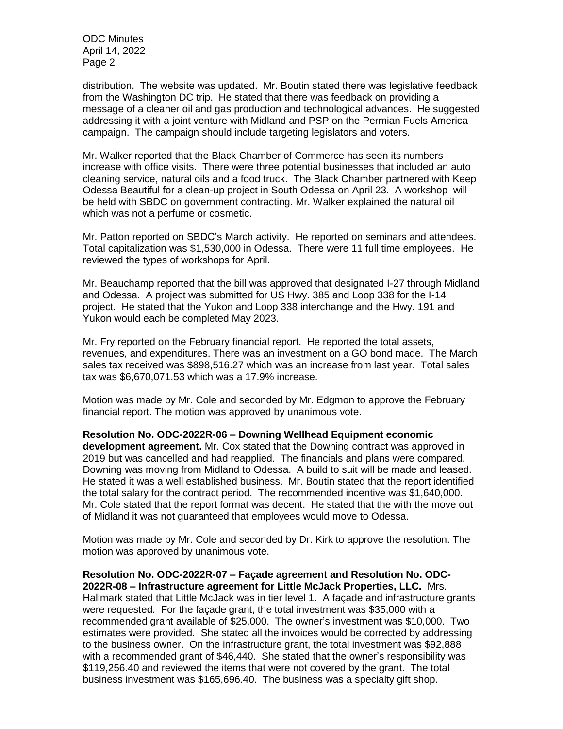ODC Minutes April 14, 2022 Page 2

distribution. The website was updated. Mr. Boutin stated there was legislative feedback from the Washington DC trip. He stated that there was feedback on providing a message of a cleaner oil and gas production and technological advances. He suggested addressing it with a joint venture with Midland and PSP on the Permian Fuels America campaign. The campaign should include targeting legislators and voters.

Mr. Walker reported that the Black Chamber of Commerce has seen its numbers increase with office visits. There were three potential businesses that included an auto cleaning service, natural oils and a food truck. The Black Chamber partnered with Keep Odessa Beautiful for a clean-up project in South Odessa on April 23. A workshop will be held with SBDC on government contracting. Mr. Walker explained the natural oil which was not a perfume or cosmetic.

Mr. Patton reported on SBDC's March activity. He reported on seminars and attendees. Total capitalization was \$1,530,000 in Odessa. There were 11 full time employees. He reviewed the types of workshops for April.

Mr. Beauchamp reported that the bill was approved that designated I-27 through Midland and Odessa. A project was submitted for US Hwy. 385 and Loop 338 for the I-14 project. He stated that the Yukon and Loop 338 interchange and the Hwy. 191 and Yukon would each be completed May 2023.

Mr. Fry reported on the February financial report. He reported the total assets, revenues, and expenditures. There was an investment on a GO bond made. The March sales tax received was \$898,516.27 which was an increase from last year. Total sales tax was \$6,670,071.53 which was a 17.9% increase.

Motion was made by Mr. Cole and seconded by Mr. Edgmon to approve the February financial report. The motion was approved by unanimous vote.

**Resolution No. ODC-2022R-06 – Downing Wellhead Equipment economic development agreement.** Mr. Cox stated that the Downing contract was approved in 2019 but was cancelled and had reapplied. The financials and plans were compared. Downing was moving from Midland to Odessa. A build to suit will be made and leased. He stated it was a well established business. Mr. Boutin stated that the report identified the total salary for the contract period. The recommended incentive was \$1,640,000. Mr. Cole stated that the report format was decent. He stated that the with the move out of Midland it was not guaranteed that employees would move to Odessa.

Motion was made by Mr. Cole and seconded by Dr. Kirk to approve the resolution. The motion was approved by unanimous vote.

**Resolution No. ODC-2022R-07 – Façade agreement and Resolution No. ODC-2022R-08 – Infrastructure agreement for Little McJack Properties, LLC.** Mrs. Hallmark stated that Little McJack was in tier level 1. A façade and infrastructure grants were requested. For the façade grant, the total investment was \$35,000 with a recommended grant available of \$25,000. The owner's investment was \$10,000. Two estimates were provided. She stated all the invoices would be corrected by addressing to the business owner. On the infrastructure grant, the total investment was \$92,888 with a recommended grant of \$46,440. She stated that the owner's responsibility was \$119,256.40 and reviewed the items that were not covered by the grant. The total business investment was \$165,696.40. The business was a specialty gift shop.